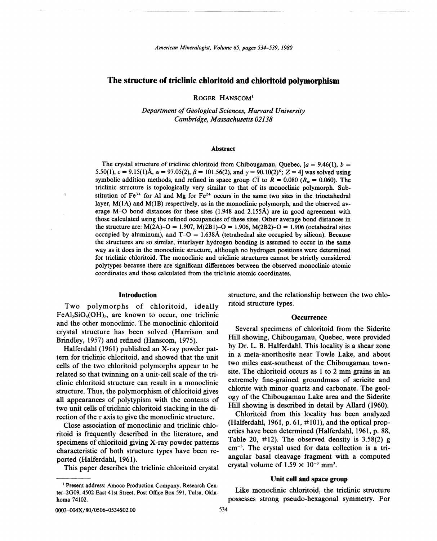# The structure of triclinic chloritoid and chloritoid polymorphism

ROGER HANSCOM<sup>1</sup>

*Department of Geological Sciences, Harvard University Cambridge, Massachusetts 02138*

# Abstract

The crystal structure of triclinic chloritoid from Chibougamau, Ouebec,  $a = 9.46(1)$ ,  $b =$ 5.50(1),  $c = 9.15(1)$ Å,  $\alpha = 97.05(2)$ ,  $\beta = 101.56(2)$ , and  $\gamma = 90.10(2)$ °; Z = 4] was solved using symbolic addition methods, and refined in space group  $\overline{CI}$  to  $R = 0.080$   $(R_w = 0.060)$ . The triclinic structure is topologically very similar to that of its monoclinic polymorph. Substitution of  $Fe^{3+}$  for Al and Mg for  $Fe^{2+}$  occurs in the same two sites in the trioctahedral layer, M(IA) and M(IB) respectively, as in the monoclinic polymorph, and the observed average M-O bond distances for these sites (1.948 and 2.155A) are in good agreement with those calculated using the refined occupancies of these sites. Other average bond distances in the structure are: M(2A)-O = 1.907, M(2B1)-O = 1.906, M(2B2)-O = 1.906 (octahedral sites occupied by aluminum), and  $T-O = 1.638\text{\AA}$  (tetrahedral site occupied by silicon). Because the structures are so similar, interlayer hydrogen bonding is assumed to occur in the same way as it does in the monoclinic structure, although no hydrogen positions were determined for triclinic chloritoid. The monoclinic and triclinic structures cannot be strictly considered polytypes because there are significant differences between the observed monoclinic atomic coordinates and those calculated from the triclinic atomic coordinates.

# Introduction

ä.

Two polymorphs of chloritoid, ideally  $FeAl<sub>2</sub>SiO<sub>5</sub>(OH)<sub>2</sub>$ , are known to occur, one triclinic and the other monoclinic. The monoclinic chloritoid crystal structure has been solved (Harrison and Brindley, 1957) and refined (Hanscom, 1975).

Halferdahl (1961) published an X-ray powder pattern for triclinic chloritoid, and showed that the unit cells of the two chloritoid polymorphs appear to be related so that twinning on a unit-cell scale of the triclinic chloritoid structure can result in a monoclinic structure. Thus, the polymorphism of chloritoid gives all appearances of polytypism with the contents of two unit cells of triclinic chloritoid stacking in the direction of the *c* axis to give the monoclinic structure.

Close association of monoclinic and triclinic chloritoid is frequently described in the literature, and specimens of chloritoid giving X-ray powder patterns characteristic of both structure types have been reported (Halferdahl, 1961).

This paper describes the triclinic chloritoid crystal

structure, and the relationship between the two chloritoid structure types.

### **Occurrence**

Several specimens of chloritoid from the Siderite Hill showing, Chibougamau, Quebec, were provided by Dr. L. B. Halferdahl. This locality is a shear zone in a meta-anorthosite near Towle Lake, and about two miles east-southeast of the Chibougamau townsite. The chloritoid occurs as I to 2 mm grains in an extremely fine-grained groundmass of sericite and chlorite with minor quartz and carbonate. The geology of the Chibougamau Lake area and the Siderite Hill showing is described in detail by Allard (1960).

Chloritoid from this locality has been analyzed (Halferdahl, 1961, p. 61,  $\#101$ ), and the optical properties have been determined (Halferdahl, 1961, p. 88, Table 20,  $\#12$ ). The observed density is 3.58(2) g cm-3. The crystal used for data collection is a triangular basal cleavage fragment with a computed crystal volume of  $1.59 \times 10^{-3}$  mm<sup>3</sup>.

# Unit cell and space group

Like monoclinic chloritoid, the triclinic structure possesses strong pseudo-hexagonal symmetry. For

<sup>1</sup> Present address: Amoco Production Company, Research Center-2G09, 4502 East 41st Street, Post Office Box 591, Tulsa, Oklahoma 74102.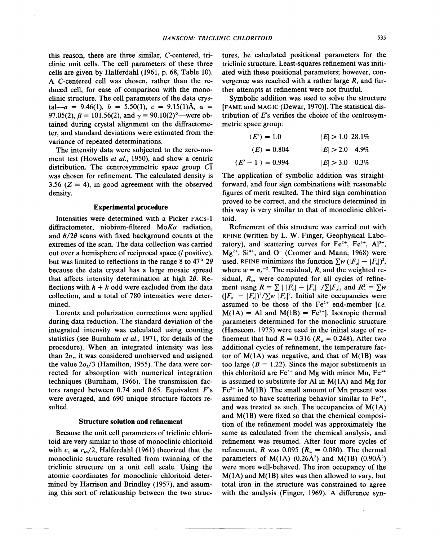clinic unit cells. The cell parameters of these three cells are given by Halferdahl (1961, p. 68, Table 10). A C-centered cell was chosen, rather than the reduced cell, for ease of comparison with the monoclinic structure. The cell parameters of the data crystal—a = 9.46(1),  $b = 5.50(1)$ ,  $c = 9.15(1)$ Å,  $\alpha =$ 97.05(2),  $\beta = 101.56(2)$ , and  $\gamma = 90.10(2)$ <sup>o</sup>—were obtained during crystal alignment on the diffractometer, and standard deviations were estimated from the variance of repeated determinations.

The intensity data were subjected to the zero-moment test (Howells *et al.,* 1950), and show a centric distribution. The centrosymmetric space group  $C\overline{1}$ was chosen for refinement. The calculated density is 3.56  $(Z = 4)$ , in good agreement with the observed density.

### Experimental procedure

Intensities were determined with a Picker FAcs-I diffractometer, niobium-filtered *MoKa* radiation, and  $\theta/2\theta$  scans with fixed background counts at the extremes of the scan. The data collection was carried out over a hemisphere of reciprocal space *(I* positive), but was limited to reflections in the range 8 to 47°  $2\theta$ because the data crystal has a large mosaic spread that affects intensity determination at high  $2\theta$ . Reflections with  $h + k$  odd were excluded from the data collection, and a total of 780 intensities were determined.

Lorentz and polarization corrections were applied during data reduction. The standard deviation of the integrated intensity was calculated using counting statistics (see Burnham *et al.,* 1971, for details of the procedure). When an integrated intensity was less than  $2\sigma_i$ , it was considered unobserved and assigned the value  $2\sigma/3$  (Hamilton, 1955). The data were corrected for absorption with numerical integration techniques (Burnham, 1966). The transmission factors ranged between 0.74 and 0.65. Equivalent *F's* were averaged, and 690 unique structure factors resulted.

## Structure solution and refinement

Because the unit cell parameters of triclinic chloritoid are very similar to those of monoclinic chloritoid with  $c_T \approx c_M/2$ , Halferdahl (1961) theorized that the monoclinic structure resulted from twinning of the triclinic structure on a unit cell scale. Using the atomic coordinates for monoclinic chloritoid determined by Harrison and Brindley (1957), and assuming this sort of relationship between the two structures, he calculated positional parameters for the triclinic structure. Least-squares refinement was initiated with these positional parameters; however, convergence was reached with a rather large *R,* and further attempts at refinement were not fruitful.

Symbolic addition was used to solve the structure [FAME and MAGIC (Dewar, 1970)]. The statistical distribution of *Es* verifies the choice of the centrosymmetric space group:

| $\langle E^2 \rangle = 1.0$       | $ E  > 1.0$ 28.1% |
|-----------------------------------|-------------------|
| $\langle E \rangle = 0.804$       | $ E  > 2.0$ 4.9%  |
| $\langle E^2 - 1 \rangle = 0.994$ | $ E  > 3.0$ 0.3%  |

The application of symbolic addition was straightforward, and four sign combinations with reasonable figures of merit resulted. The third sign combination proved to be correct, and the structure determined in this way is very similar to that of monoclinic chloritoid.

Refinement of this structure was carried out with RFINE (written by L. W. Finger, Geophysical Laboratory), and scattering curves for  $Fe^{2+}$ ,  $Fe^{3+}$ ,  $Al^{3+}$ ,  $Mg^{2+}$ , Si<sup>4+</sup>, and O<sup>-</sup> (Cromer and Mann, 1968) were used. RFINE minimizes the function  $\sum w (|F_0| - |F_1|)^2$ , where  $w = \sigma_F^{-2}$ . The residual, *R*, and the weighted residual,  $R_{\nu}$ , were computed for all cycles of refinement using  $R = \sum |F_{o}| - |F_{c}| / \sum |F_{o}|$ , and  $R_{w}^{2} = \sum w$  $(|F_{o}| - |F_{e}|)^{2}/\sum w |F_{o}|^{2}$ . Initial site occupancies were assumed to be those of the Fe<sup>2+</sup> end-member [i.e.]  $M(1A) = Al$  and  $M(1B) = Fe^{2+}$ ]. Isotropic therma parameters determined for the monoclinic structure (Hanscom, 1975) were used in the initial stage of refinement that had  $R = 0.316$  ( $R_w = 0.248$ ). After two additional cycles of refinement, the temperature factor of  $M(1A)$  was negative, and that of  $M(1B)$  was too large  $(B = 1.22)$ . Since the major substituents in this chloritoid are  $Fe^{3+}$  and Mg with minor Mn,  $Fe^{3+}$ is assumed to substitute for Al in M(IA) and Mg for  $Fe<sup>2+</sup>$  in M(1B). The small amount of Mn present was assumed to have scattering behavior similar to  $Fe^{2+}$ , and was treated as such. The occupancies of M(IA) and M(IB) were fixed so that the chemical composition of the refinement model was approximately the same as calculated from the chemical analysis, and refinement was resumed. After four more cycles of refinement, *R* was 0.095 ( $R_w = 0.080$ ). The thermal parameters of  $M(1A)$  (0.26Å<sup>2</sup>) and  $M(1B)$  (0.90Å<sup>2</sup>) were more well-behaved. The iron occupancy of the  $M(1A)$  and  $M(1B)$  sites was then allowed to vary, but total iron in the structure was constrained to agree with the analysis (Finger, 1969). A difference syn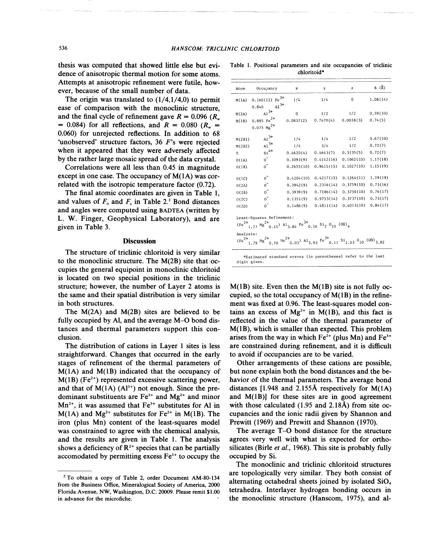thesis was computed that showed little else but evidence of anisotropic thermal motion for some atoms. Attempts at anisotropic refinement were futile, however, because of the small number of data.

The origin was translated to  $(1/4,1/4,0)$  to permit ease of comparison with the monoclinic structure, and the final cycle of refinement gave  $R = 0.096$  *(R<sub>w</sub>*)  $= 0.084$ ) for all reflections, and  $R = 0.080$  ( $R_w =$ 0.060) for unrejected reflections. In addition to 68 'unobserved' structure factors, 36 *F's* were rejected when it appeared that they were adversely affected by the rather large mosaic spread of the data crystal.

Correlations were all less than 0.45 in magnitude except in one case. The occupancy of  $M(1A)$  was correlated with the isotropic temperature factor (0.72).

The final atomic coordinates are given in Table 1, and values of  $F<sub>o</sub>$  and  $F<sub>c</sub>$  in Table 2.<sup>2</sup> Bond distances and angles were computed using BADTEA(written by L. W. Finger, Geophysical Laboratory), and are given in Table 3.

#### **Discussion**

The structure of triclinic chloritoid is very similar to the monoclinic structure. The M(2B) site that occupies the general equipoint in monoclinic chloritoid is located on two special positions in the triclinic structure; however, the number of Layer 2 atoms is the same and their spatial distribution is very similar in both structures.

The M(2A) and M(2B) sites are believed to be fully occupied by AI, and the average M-O bond distances and thermal parameters support this conclusion.

The distribution of cations in Layer 1 sites is less straightforward. Changes that occurred in the early stages of refinement of the thermal parameters of  $M(1A)$  and  $M(1B)$  indicated that the occupancy of  $M(1B)$  (Fe<sup>2+</sup>) represented excessive scattering power, and that of  $M(1A)$  (Al<sup>3+</sup>) not enough. Since the predominant substituents are  $Fe<sup>3+</sup>$  and  $Mg<sup>2+</sup>$  and minor  $Mn^{2+}$ , it was assumed that  $Fe^{3+}$  substitutes for Al in  $M(1A)$  and  $Mg^{2+}$  substitutes for Fe<sup>2+</sup> in M(1B). The iron (plus Mn) content of the least-squares model was constrained to agree with the chemical analysis, and the results are given in Table I. The analysis shows a deficiency of  $\mathbb{R}^{2+}$  species that can be partially accomodated by permitting excess  $Fe<sup>3+</sup>$  to occupy the

|  |             |  | Table 1. Positional parameters and site occupancies of triclinic |  |
|--|-------------|--|------------------------------------------------------------------|--|
|  | chloritoid* |  |                                                                  |  |

| Atom      | Occupancy                                                                                                                                                                                                                                     | x           | y          | $\mathbf{z}$ | $B(\lambda)$ |
|-----------|-----------------------------------------------------------------------------------------------------------------------------------------------------------------------------------------------------------------------------------------------|-------------|------------|--------------|--------------|
| M(1A)     | $0.160(15)$ Fe <sup>3+</sup><br>$A1^{3+}$<br>0.840                                                                                                                                                                                            | 1/4         | 1/4        | 0            | 1.08(14)     |
| M(2A)     | ${\rm Al}^{\,3+}$                                                                                                                                                                                                                             | $\mathbf 0$ | 1/2        | 1/2          | 0.59(10)     |
| M(1B)     | $0.885 \text{ Fe}^{2+}$                                                                                                                                                                                                                       | 0.0837(2)   | 0.7470(4)  | 0.0018(3)    | 0.74(5)      |
|           | $0.075$ Mg <sup>2+</sup>                                                                                                                                                                                                                      |             |            |              |              |
| M(2B1)    | $Al^{3+}$                                                                                                                                                                                                                                     | 1/4         | 1/4        | 1/2          | 0.67(10)     |
| M(2B2)    | $A1^{3+}$                                                                                                                                                                                                                                     | 1/4         | 3/4        | 1/2          | 0.72(7)      |
| T         | $\sin^{4+}$                                                                                                                                                                                                                                   | 0.4620(4)   | 0.4643(7)  | 0.3135(5)    | 0.72(7)      |
| O(1A)     | $\circ$ <sup>-</sup>                                                                                                                                                                                                                          | 0.1093(9)   | 0.4142(16) | 0.1062(10)   | 1.17(18)     |
| O(1B)     | $\circ^-$                                                                                                                                                                                                                                     | 0.2655(10)  | 0.9615(15) | 0.1027(10)   | 1.15(19)     |
| O(1C)     | $\sigma$ <sup>-</sup>                                                                                                                                                                                                                         | 0.4204(10)  | 0,4217(15) | 0.1264(11)   | 1.19(19)     |
| O(2A)     | $0^{-}$                                                                                                                                                                                                                                       | 0.3942(9)   | 0.2316(14) | 0.3759(10)   | 0.73(16)     |
| O(2B)     | $\overline{0}$                                                                                                                                                                                                                                | 0.3939(9)   | 0.7186(14) | 0.3750(10)   | 0.76(17)     |
| O(2C)     | $\circ^-$                                                                                                                                                                                                                                     | 0.1351(9)   | 0.9753(14) | 0.3737(10)   | 0.73(17)     |
| O(2D)     | $0^{-}$                                                                                                                                                                                                                                       | 0.1486(9)   | 0.4811(14) | 0.4013(10)   | 0.84(17)     |
|           | Least-Squares Refinement:<br>$(Fe^{2+}$ <sub>1.77</sub> Mg <sup>2+</sup> <sub>0.15</sub> ) A <sub>13.84</sub> Fe <sup>3+</sup> <sub>0.16</sub> S <sub>1<sub>2</sub></sub> O <sub>10</sub> (OH) <sub>4</sub>                                   |             |            |              |              |
| Analysis: | $(Fe^{2+}$ <sub>1.79</sub> Mg <sup>2+</sup> <sub>0.10</sub> Mn <sup>2+</sup> <sub>0.03</sub> ) A <sub>1</sub> <sub>3.93</sub> Fe <sup>3+</sup> <sub>0.11</sub> S <sub>1</sub> <sub>2.03</sub> <sup>0</sup> <sub>10</sub> (OH) <sub>3.82</sub> |             |            |              |              |
|           | *Estimated standard errors (in parentheses) refer to the last<br>digit given.                                                                                                                                                                 |             |            |              |              |

 $M(1B)$  site. Even then the  $M(1B)$  site is not fully occupied, so the total occupancy of  $M(1B)$  in the refinement was fixed at 0.96. The least-squares model contains an excess of  $Mg^{2+}$  in  $M(1B)$ , and this fact is reflected in the value of the thermal parameter of M(IB), which is smaller than expected. This problem arises from the way in which  $Fe^{2+}$  (plus Mn) and  $Fe^{3+}$ are constrained during refinement, and it is difficult to avoid if occupancies are to be varied.

Other arrangements of these cations are possible, but none explain both the bond distances and the behavior of the thermal parameters. The average bond distances [1.948 and 2.155A respectively for M(IA) and M(IB)] for these sites are in good agreement with those calculated (1.95 and 2.18A) from site occupancies and the ionic radii given by Shannon and Prewitt (1969) and Prewitt and Shannon (1970).

The average T-0 bond distance for the structure agrees very well with what is expected for orthosilicates (Birle *et al.,* 1968). This site is probably fully occupied by Si.

The monoclinic and triclinic chloritoid structures are topologically very similar. They both consist of alternating octahedral sheets joined by isolated  $SiO<sub>4</sub>$ tetrahedra. Interlayer hydrogen bonding occurs in the monoclinic structure (Hanscom, 1975), and al-

<sup>2</sup> To obtain a copy of Table 2, order Document AM-80-134 from the Business Office, Mineralogical Society of America, 2000 Florida Avenue, NW, Washington, D.C. 20009. Please remit \$1.00 in advance for the microfiche.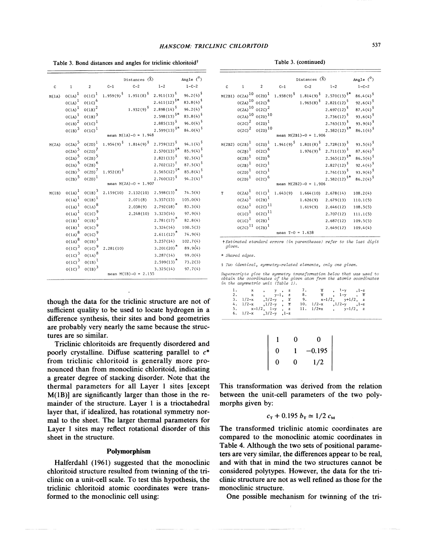| Table 3. Bond distances and angles for triclinic chloritoid <sup>†</sup> | Table 3. (continued |
|--------------------------------------------------------------------------|---------------------|
|--------------------------------------------------------------------------|---------------------|

|              |             |                    |                                                | Distances $(\lambda)$                          |                                | Angle $(^\circ)$       |
|--------------|-------------|--------------------|------------------------------------------------|------------------------------------------------|--------------------------------|------------------------|
| $\mathbf{C}$ | $\,1$       | $\overline{2}$     | $C-1$                                          | $C-2$                                          | $1 - 2$                        | $1 - C - 2$            |
| M(1A)        | $0(1A)^{1}$ | $0(1C)^{1}$        | $1.959(9)^{\frac{6}{3}}$ 1.951(8) <sup>§</sup> |                                                | $2.911(13)^5$                  | $96.2(4)$ <sup>§</sup> |
|              | $0(1A)^{1}$ | $0(1C)^{4}$        |                                                |                                                | $2.611(12)^{\frac{5}{8}}$      | $83.8(4)$ <sup>§</sup> |
|              | $0(1A)^{1}$ | $O(1B)^{2}$        |                                                | $1.932(9)^5$                                   | $2.898(14)^5$                  | 96.2(4) <sup>§</sup>   |
|              | $O(1A)^{1}$ | $O(1B)^3$          |                                                |                                                | $2.598(13)^{5*}$               | $83.8(4)$ <sup>§</sup> |
|              | $0(1B)^{2}$ | $0(1C)^{1}$        |                                                |                                                | 2,885(13) <sup>5</sup>         | 96.0(4) <sup>§</sup>   |
|              | $O(1B)^{3}$ | $0(1C)^{1}$        |                                                |                                                | $2.599(13)^{\frac{5}{8}\pi}$   | $84.0(4)^5$            |
|              |             |                    |                                                | mean $M(1A)-0 = 1.948$                         |                                |                        |
| M(2A)        | $0(2A)^{5}$ | $O(2D)^{1}$        |                                                | $1.954(9)^{\frac{5}{3}}$ 1.814(9) <sup>5</sup> | $2.759(12)^5$                  | $94.1(4)$ <sup>§</sup> |
|              | $0(2A)^{5}$ | $O(2D)^7$          |                                                |                                                | $2.570(13)^{\frac{5}{8}}$      | $85.9(4)^5$            |
|              | $O(2A)^{5}$ | $O(2B)^{5}$        |                                                |                                                | $2.821(13)^5$                  | 92.5(4) $^{6}$         |
|              | $O(2A)^{5}$ | $0(2B)^6$          |                                                |                                                | $2.702(12)^{\frac{6}{5}}$      | 87.5(4) <sup>§</sup>   |
|              | $0(2B)^5$   | $O(2D)^7$          | 1.952(8) <sup>5</sup>                          |                                                | $2.565(12)^{\frac{5}{8}\star}$ | $85.8(4)^5$            |
|              | $O(2B)^{5}$ | $O(2D)^{1}$        |                                                |                                                | $2.760(12)^5$                  | 94.2(4) <sup>§</sup>   |
|              |             |                    |                                                | mean $M(2A)-0 = 1.907$                         |                                |                        |
| M(1B)        | $O(1A)^{1}$ | $O(1B)^{3}$        |                                                | $2.159(10)$ $2.132(10)$                        | $2.598(13)^*$                  | 74.5(4)                |
|              | $O(1A)^{1}$ | $0(1B)^{1}$        |                                                | 2,071(8)                                       | 3.357(13)                      | 105.0(4)               |
|              | $0(1A)^{1}$ | $_{\rm O(1A)}{}^8$ |                                                |                                                | $2.038(9)$ $2.792(18)^{*}$     | 83.3(4)                |
|              | $0(1A)^{1}$ | $O(1C)^9$          |                                                | 2,248(10)                                      | 3.323(14)                      | 97.9(4)                |
|              | $0(1B)^{1}$ | $O(1B)^3$          |                                                |                                                | $2.781(17)$ <sup>*</sup>       | 82.8(4)                |
|              | $0(1B)^{1}$ | $0(1C)^{9}$        |                                                |                                                | 3,324(14)                      | 100.5(3)               |
|              | $0(1A)^8$   | $0(1C)^9$          |                                                |                                                | $2.611(12)^*$                  | 74.9(4)                |
|              | $0(1A)^8$   | $O(1B)^{3}$        |                                                |                                                | 3.257(14)                      | 102.7(4)               |
|              | $0(1C)^{3}$ | $0(1C)^{9}$        | 2.281(10)                                      |                                                | $3.201(20)^{*}$                | 89.9(4)                |
|              | $0(1C)^{3}$ | $0(1A)^8$          |                                                |                                                | 3.287(14)                      | 99.0(4)                |
|              | $0(1c)^3$   | $O(1B)^1$          |                                                |                                                | $2.599(13)^*$                  | 73.2(3)                |
|              | $0(1C)^3$   | $0(1B)^3$          |                                                |                                                | 3.325(14)                      | 97.7(4)                |
|              |             |                    |                                                | mean $M(1B)-0 = 2.155$                         |                                |                        |

though the data for the triclinic structure are not of sufficient quality to be used to locate hydrogen in a difference synthesis, their sites and bond geometries are probably very nearly the same because the structures are so similar.

Triclinic chloritoids are frequently disordered and poorly crystalline. Diffuse scattering parallel to  $c^*$ from triclinic chloritoid is generally more pronounced than from monoclinic chloritoid, indicating a greater degree of stacking disorder. Note that the thermal parameters for all Layer 1 sites [except  $M(1B)$ ] are significantly larger than those in the remainder of the structure. Layer 1 is a trioctahedral layer that, if idealized, has rotational symmetry normal to the sheet. The larger thermal parameters for Layer 1 sites may reflect rotational disorder of this sheet in the structure.

# **Polymorphism**

Halferdahl (1961) suggested that the monoclinic chloritoid structure resulted from twinning of the triclinic on a unit-cell scale. To test this hypothesis, the triclinic chloritoid atomic coordinates were transformed to the monoclinic cell using:

|  | Table 3. (continued) |
|--|----------------------|
|  |                      |

|              |                                 |                          |                    | Distances $(\lambda)$                                                 |                                                                                                       | Angle $(°)$          |
|--------------|---------------------------------|--------------------------|--------------------|-----------------------------------------------------------------------|-------------------------------------------------------------------------------------------------------|----------------------|
| $\mathsf{C}$ | $\mathbf{1}$                    | $\overline{\phantom{a}}$ | $C-1$              | $C-2$                                                                 | $1 - 2$                                                                                               | $1 - C - 2$          |
|              |                                 |                          |                    |                                                                       | $M(2B1)$ $O(2A)^{10}$ $O(2D)^{1}$ 1.938(9) <sup>5</sup> 1.814(9) <sup>5</sup> 2.570(13) <sup>5*</sup> | $86.4(4)^{5}$        |
|              | $O(2A)^{10}$ $O(2C)^{6}$        |                          |                    |                                                                       | $1.965(8)^{\frac{5}{2}}$ 2.821(12) <sup>§</sup>                                                       | 92.6(4) <sup>§</sup> |
|              | $O(2A)^{10} O(2C)^{2}$          |                          |                    |                                                                       | 2.697(12) <sup>§</sup>                                                                                | $87.4(4)^5$          |
|              | $O(2A)^{10} O(2D)^{10}$         |                          |                    |                                                                       | $2.736(12)^5$                                                                                         | 93.6(4) <sup>5</sup> |
|              | $0(2C)^2$ $0(2D)^1$             |                          |                    |                                                                       | $2.763(13)^5$                                                                                         | 93.9(4) <sup>§</sup> |
|              | $0(2C)^{2}$ 0(2D) <sup>10</sup> |                          |                    |                                                                       | $2.582(12)^{\frac{5}{}}$                                                                              | $86.1(4)^5$          |
|              |                                 |                          |                    | mean $M(2B1) - 0 = 1.906$                                             |                                                                                                       |                      |
|              | $M(2B2) O(2B)^{1}$              | $O(2D)^{1}$              |                    | $1.941(9)^{\frac{5}{3}}$ 1.801(8) <sup>5</sup> 2.728(13) <sup>5</sup> |                                                                                                       | 93.5(4) <sup>§</sup> |
|              | $O(2B)^{1}$                     | $0(2C)^6$                |                    |                                                                       | $1.976(9)^{\frac{5}{3}}$ 2.711 (13) <sup>5</sup>                                                      | $87.6(4)^5$          |
|              | $O(2B)^{1}$                     | $0(2D)^6$                |                    |                                                                       | $2.565(12)^{5*}$                                                                                      | $86.5(4)^5$          |
|              | $O(2B)^{1}$                     | $0(2C)^{1}$              |                    |                                                                       | $2.827(12)^5$                                                                                         | $92.4(4)^5$          |
|              | $O(2D)^{1}$                     | $0(2C)^{1}$              |                    |                                                                       | $2,761(13)^5$                                                                                         | 93.9(4) <sup>§</sup> |
|              | $O(2D)^{1}$                     | $0(2C)^6$                |                    |                                                                       | $2.582(12)^{\frac{5}{}}$                                                                              | $86.2(4)^5$          |
|              |                                 |                          |                    | mean $M(2B2)-0 = 1.906$                                               |                                                                                                       |                      |
| T            | $O(2A)^{\frac{1}{2}}$           | $0(1C)^{1}$              |                    | $1.643(9)$ $1.664(10)$ $2.678(14)$                                    |                                                                                                       | 108.2(4)             |
|              | $O(2A)^{1}$                     | $O(2B)^{1}$              |                    | 1.626(9)                                                              | 2.679(13)                                                                                             | 110.1(5)             |
|              | $O(2A)^{1}$                     | $0(2C)^{11}$             |                    | 1.619(9)                                                              | 2,646(12)                                                                                             | 108.5(5)             |
|              | $0(10)^1$ $0(20)^{11}$          |                          |                    |                                                                       | 2,707(12)                                                                                             | 111.1(5)             |
|              | $O(1C)^{1}$ $O(2B)^{1}$         |                          |                    |                                                                       | 2.687(12)                                                                                             | 109.5(5)             |
|              | $O(2C)^{11} O(2B)^{1}$          |                          |                    |                                                                       | 2,649(12)                                                                                             | 109.4(4)             |
|              |                                 |                          | mean $T-0 = 1.638$ |                                                                       |                                                                                                       |                      |

t *Estimated standard* errors *(in parentheses) refer to the last digit given.*

*Shared edges.*

§ *Two identical~ symmetry-related elements~ only one given.*

Superscripts give the symmetry transformation below that was used t<br>obtain the coordinates of the given atom from the atomic coordinate:<br>in the asymmetric unit (Table 1).

|  |                              |  | 1. $x = 1$ , $y = 2$ , $z = 7$ , $\overline{x} = 1$ , $1 - y = 1 - z$    |  |
|--|------------------------------|--|--------------------------------------------------------------------------|--|
|  | 2. $x$ , $y-1$ , z           |  | 8. x, 1-y, z                                                             |  |
|  |                              |  | 3. $1/2-x$ , $3/2-y$ , $\overline{z}$ 9. $x-1/2$ , $y+1/2$ , z           |  |
|  |                              |  | 4. $1/2-x$ , $1/2-y$ , $\overline{z}$ , $10$ , $1/2-x$ , $1/2-y$ , $1-z$ |  |
|  |                              |  | 5. $x-1/2$ , $1-y$ , $z$ 11. $1/2+x$ , $y-1/2$ , $z$                     |  |
|  | 6. $1/2-x$ , $3/2-y$ , $1-z$ |  |                                                                          |  |

|   | 0 | 0        |
|---|---|----------|
| 0 |   | $-0.195$ |
| 0 | 0 | 1/2      |

This transformation was derived from the relation between the unit-cell parameters of the two polymorphs given by:

$$
c_{\rm T}
$$
 + 0.195  $b_{\rm T}$   $\simeq$  1/2  $c_{\rm M}$ 

The transformed triclinic atomic coordinates are compared to the monoclinic atomic coordinates in Table 4. Although the two sets of positional parameters are very similar, the differences appear to be real, and with that in mind the two structures cannot be considered polytypes. However, the data for the triclinic structure are not as well refined as those for the monoclinic structure.

One possible mechanism for twinning of the tri-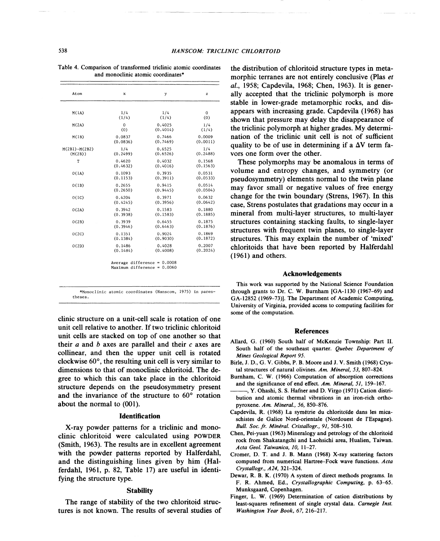| Atom              | x           | у        | $\mathbf{z}$ |
|-------------------|-------------|----------|--------------|
| M(1A)             | 1/4         | 1/4      | 0            |
|                   | (1/4)       | (1/4)    | (0)          |
| M(2A)             | $\mathbf 0$ | 0.4025   | 1/4          |
|                   | (0)         | (0.4014) | (1/4)        |
| M(1B)             | 0.0837      | 0.7466   | 0.0009       |
|                   | (0.0836)    | (0.7469) | (0.0011)     |
| $M(2B1) - M(2B2)$ | 1/4         | 0.6525   | 1/4          |
| (M(2B))           | (0.2499)    | (0.6526) | (0.2488)     |
| T                 | 0.4620      | 0.4032   | 0.1568       |
|                   | (0.4632)    | (0.4016) | (0.1563)     |
| O(1A)             | 0.1093      | 0.3935   | 0.0531       |
|                   | (0.1153)    | (0.3911) | (0.0533)     |
| O(1B)             | 0.2655      | 0.9415   | 0.0514       |
|                   | (0.2650)    | (0.9445) | (0.0504)     |
| 0(1C)             | 0.4204      | 0.3971   | 0.0632       |
|                   | (0.4245)    | (0.3956) | (0.0642)     |
| O(2A)             | 0.3942      | 0.1583   | 0.1880       |
|                   | (0.3938)    | (0.1583) | (0.1885)     |
| O(2B)             | 0.3939      | 0.6455   | 0.1875       |
|                   | (0.3946)    | (0.6463) | (0.1876)     |
| O(2C)             | 0.1351      | 0.9024   | 0.1869       |
|                   | (0.1384)    | (0.9030) | (0.1872)     |
| O(2D)             | 0.1486      | 0.4028   | 0.2007       |
|                   | (0.1484)    | (0.4008) | (0.2024)     |

Table 4. Comparison of transformed triclinic atomic coordinates and monoclinic atomic coordinates\*

\*Monoclinic atomic coordinates (Hanscom, 1975) in parentheses.

clinic structure on a unit-cell scale is rotation of one unit cell relative to another. If two triclinic chloritoid unit cells are stacked on top of one another so that their *a* and *b* axes are parallel and their *c* axes are collinear, and then the upper unit cell is rotated clockwise 60°, the resulting unit cell is very similar to dimensions to that of monoclinic chloritoid. The degree to which this can take place in the chloritoid structure depends on the pseudosymmetry present and the invariance of the structure to 60° rotation about the normal to (001).

### **Identification**

X-ray powder patterns for a triclinic and monoclinic chloritoid were calculated using POWDER (Smith, 1963). The results are in excellent agreement with the powder patterns reported by Halferdahl, and the distinguishing lines given by him (Halferdahl, 1961, p. 82, Table 17) are useful in identifying the structure type.

### **Stability**

The range of stability of the two chloritoid structures is not known. The results of several studies of the distribution of chloritoid structure types in metamorphic terranes are not entirely conclusive (Plas *et al.,* 1958; Capdevila, 1968; Chen, 1963). It is generally accepted that the triclinic polymorph is more stable in lower-grade metamorphic rocks, and disappears with increasing grade. Capdevila (1968) has shown that pressure may delay the disappearance of the triclinic polymorph at higher grades. My determination of the triclinic unit cell is not of sufficient quality to be of use in determining if a  $\Delta V$  term favors one form over the other.

These polymorphs may be anomalous in terms of volume and entropy changes, and symmetry (or pseudosymmetry) elements normal to the twin plane may favor small or negative values of free energy change for the twin boundary (Strens, 1967). In this case, Strens postulates that gradations may occur in a mineral from multi-layer structures, to multi-layer structures containing stacking faults, to single-layer structures with frequent twin planes, to single-layer structures. This may explain the number of 'mixed' chloritoids that have been reported by Halferdahl (1961) and others.

#### Acknowledgements

This work was supported by the National Science Foundation through grants to Dr. C. W. Burnham [GA-1130 (1967-69) and GA-12852 (1969-73)]. The Department of Academic Computing, University of Virginia, provided access to computing facilities for some of the computation.

#### References

- Allard, G. (1960) South half of McKenzie Township: Part II. South half of the southeast quarter. *Quebec Department of Mines Geological Report 95.*
- Birle, J. D., G. V. Gibbs, P. B. Moore and J. V. Smith (1968) Crystal structures of natural olivines. *Am. Mineral,* 53, 807-824.
- Burnham, C. W. (1966) Computation of absorption corrections and the significance of end effect. *Am. Mineral,* 51, 159-167.
- -, Y. Ohashi, S. S. Hafner and D. Virgo (1971) Cation distribution and atomic thermal vibrations in an iron-rich orthopyroxene. *Am. Mineral.,* 56, 850-876.
- Capdevila, R. (1968) La symétrie du chloritoïde dans les micaschistes de Galice Nord-orientale (Nordouest de l'Espagne). *Bull. Soc. fr. Minéral. Cristallogr., 91, 508-510.*
- Chen, Pei-yuan (1963) Mineralogy and petrology of the chloritoid rock from Shakatangchi and Laohsichi area, Hualien, Taiwan. *Acta Geol. Taiwanica, 10, 11-27.*
- Cromer, D. T. and J. B. Mann (1968) X-ray scattering factors computed from numerical Hartree-Fock wave functions. *Acta Crystallogr., A24, 321-324.*
- Dewar, R. B. K. (1970) A system of direct methods programs. In F. R. Ahmed, Ed., *Crystallographic Computing,* p. 63-65. Munksgaard, Copenhagen.
- Finger, L. W. (1969) Determination of cation distributions by least-squares refinement of single crystal data. *Carnegie Inst. Washington Year Book,* 67, 216-217.